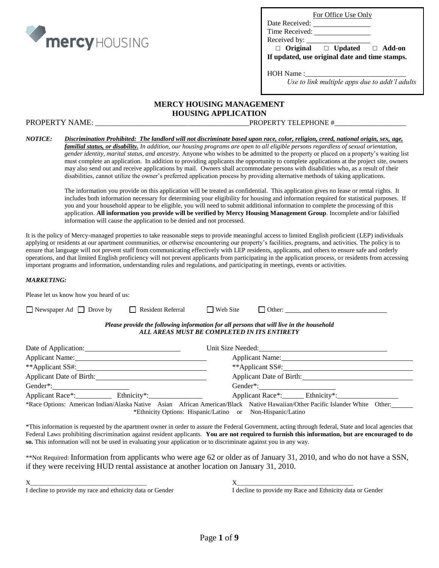

|  |  | For Office Use Only |  |  |
|--|--|---------------------|--|--|
|--|--|---------------------|--|--|

Date Received: Time Received:

Received by:

 **□ Original □ Updated □ Add-on If updated, use original date and time stamps.**

HOH Name :

*Use to link multiple apps due to addt'l adults*

#### **MERCY HOUSING MANAGEMENT HOUSING APPLICATION**

PROPERTY NAME: \_\_\_\_\_\_\_\_\_\_\_\_\_\_\_\_\_\_\_\_\_\_\_\_\_\_\_\_\_\_\_\_\_\_\_\_\_\_\_\_\_\_\_PROPERTY TELEPHONE #\_\_\_\_\_\_\_\_\_\_\_\_\_\_\_\_\_\_\_\_

#### *NOTICE: Discrimination Prohibited: The landlord will not discriminate based upon race, color, religion, creed, national origin, sex, age, familial status, or disability. In addition, our housing programs are open to all eligible persons regardless of sexual orientation, gender identity, marital status, and ancestry.* Anyone who wishes to be admitted to the property or placed on a property's waiting list must complete an application. In addition to providing applicants the opportunity to complete applications at the project site, owners may also send out and receive applications by mail. Owners shall accommodate persons with disabilities who, as a result of their disabilities, cannot utilize the owner's preferred application process by providing alternative methods of taking applications.

The information you provide on this application will be treated as confidential. This application gives no lease or rental rights. It includes both information necessary for determining your eligibility for housing and information required for statistical purposes. If you and your household appear to be eligible, you will need to submit additional information to complete the processing of this application. **All information you provide will be verified by Mercy Housing Management Group**. Incomplete and/or falsified information will cause the application to be denied and not processed.

It is the policy of Mercy-managed properties to take reasonable steps to provide meaningful access to limited English proficient (LEP) individuals applying or residents at our apartment communities, or otherwise encountering our property's facilities, programs, and activities. The policy is to ensure that language will not prevent staff from communicating effectively with LEP residents, applicants, and others to ensure safe and orderly operations, and that limited English proficiency will not prevent applicants from participating in the application process, or residents from accessing important programs and information, understanding rules and regulations, and participating in meetings, events or activities.

#### *MARKETING:*

| Please let us know how you heard of us:                                                                                                                                                                                       |                                                                                                                                         |
|-------------------------------------------------------------------------------------------------------------------------------------------------------------------------------------------------------------------------------|-----------------------------------------------------------------------------------------------------------------------------------------|
| $\Box$ Newspaper Ad $\Box$ Drove by<br>Resident Referral                                                                                                                                                                      | $\Box$ Web Site                                                                                                                         |
|                                                                                                                                                                                                                               | Please provide the following information for all persons that will live in the household<br>ALL AREAS MUST BE COMPLETED IN ITS ENTIRETY |
| Date of Application:                                                                                                                                                                                                          |                                                                                                                                         |
| Applicant Name: Name and Applicant Name and Applicant Name and Applicant Name and Applicant Applicant Applicant Applicant Applicant Applicant Applicant Applicant Applicant Applicant Applicant Applicant Applicant Applicant | Applicant Name:                                                                                                                         |
| **Applicant SS#: New York 2014                                                                                                                                                                                                | **Applicant SS#:                                                                                                                        |
| Applicant Date of Birth:                                                                                                                                                                                                      | Applicant Date of Birth:                                                                                                                |
| Gender*: $\qquad \qquad$                                                                                                                                                                                                      |                                                                                                                                         |
| Applicant Race*: Ethnicity*:                                                                                                                                                                                                  | Applicant Race*: Ethnicity*:                                                                                                            |
|                                                                                                                                                                                                                               | *Race Options: American Indian/Alaska Native Asian African American/Black Native Hawaiian/Other Pacific Islander White Other:           |

\*Ethnicity Options: Hispanic/Latino or Non-Hispanic/Latino

\*This information is requested by the apartment owner in order to assure the Federal Government, acting through federal, State and local agencies that Federal Laws prohibiting discrimination against resident applicants. **You are not required to furnish this information, but are encouraged to do so.** This information will not be used in evaluating your application or to discriminate against you in any way.

\*\*Not Required: Information from applicants who were age 62 or older as of January 31, 2010, and who do not have a SSN, if they were receiving HUD rental assistance at another location on January 31, 2010.

| ٧<br>ł<br>I |  |
|-------------|--|
| I           |  |
| é,          |  |
|             |  |

I decline to provide my race and ethnicity data or Gender I decline to provide my Race and Ethnicity data or Gender

 $X$  , and the set of  $X$  , and  $X$  , and  $X$  , and  $X$  , and  $X$  , and  $X$  , and  $X$  , and  $X$  , and  $X$  , and  $X$  , and  $X$  , and  $X$  , and  $X$  , and  $X$  , and  $X$  , and  $X$  , and  $X$  , and  $X$  , and  $X$  , and  $X$  , and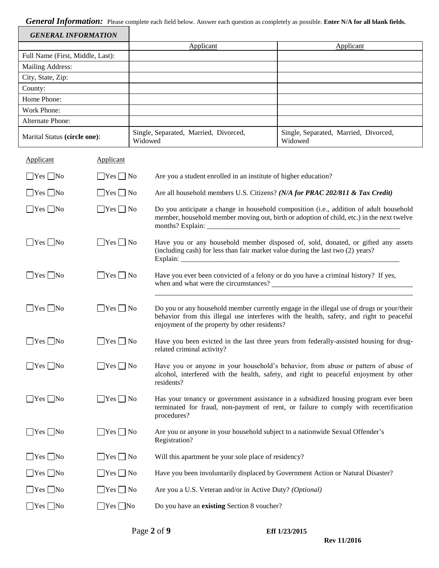# *General Information:* Please complete each field below. Answer each question as completely as possible. **Enter N/A for all blank fields.**

| <b>GENERAL INFORMATION</b>       |                      |         |                                                                                                                                                                                                                                        |                                                                                                                                                                                     |  |
|----------------------------------|----------------------|---------|----------------------------------------------------------------------------------------------------------------------------------------------------------------------------------------------------------------------------------------|-------------------------------------------------------------------------------------------------------------------------------------------------------------------------------------|--|
|                                  |                      |         | Applicant                                                                                                                                                                                                                              | Applicant                                                                                                                                                                           |  |
| Full Name (First, Middle, Last): |                      |         |                                                                                                                                                                                                                                        |                                                                                                                                                                                     |  |
| Mailing Address:                 |                      |         |                                                                                                                                                                                                                                        |                                                                                                                                                                                     |  |
| City, State, Zip:                |                      |         |                                                                                                                                                                                                                                        |                                                                                                                                                                                     |  |
| County:                          |                      |         |                                                                                                                                                                                                                                        |                                                                                                                                                                                     |  |
| Home Phone:<br>Work Phone:       |                      |         |                                                                                                                                                                                                                                        |                                                                                                                                                                                     |  |
| Alternate Phone:                 |                      |         |                                                                                                                                                                                                                                        |                                                                                                                                                                                     |  |
| Marital Status (circle one):     |                      | Widowed | Single, Separated, Married, Divorced,<br>Single, Separated, Married, Divorced,<br>Widowed                                                                                                                                              |                                                                                                                                                                                     |  |
| Applicant                        | <b>Applicant</b>     |         |                                                                                                                                                                                                                                        |                                                                                                                                                                                     |  |
| $\Box$ Yes $\Box$ No             | $\Box$ Yes $\Box$ No |         | Are you a student enrolled in an institute of higher education?                                                                                                                                                                        |                                                                                                                                                                                     |  |
| $\Box$ Yes $\Box$ No             | $\Box$ Yes $\Box$ No |         | Are all household members U.S. Citizens? (N/A for PRAC 202/811 & Tax Credit)                                                                                                                                                           |                                                                                                                                                                                     |  |
| $\Box$ Yes $\Box$ No             | $\Box$ Yes $\Box$ No |         |                                                                                                                                                                                                                                        | Do you anticipate a change in household composition (i.e., addition of adult household<br>member, household member moving out, birth or adoption of child, etc.) in the next twelve |  |
| $\Box$ Yes $\Box$ No             | $\Box$ Yes $\Box$ No |         | (including cash) for less than fair market value during the last two (2) years?                                                                                                                                                        | Have you or any household member disposed of, sold, donated, or gifted any assets                                                                                                   |  |
| $\Box$ Yes $\Box$ No             | $\Box$ Yes $\Box$ No |         | Have you ever been convicted of a felony or do you have a criminal history? If yes,                                                                                                                                                    |                                                                                                                                                                                     |  |
| $\Box$ Yes $\Box$ No             | $\Box$ Yes $\Box$ No |         | Do you or any household member currently engage in the illegal use of drugs or your/their<br>behavior from this illegal use interferes with the health, safety, and right to peaceful<br>enjoyment of the property by other residents? |                                                                                                                                                                                     |  |
| $\Box$ Yes $\Box$ No             | $\Box$ Yes $\Box$ No |         | related criminal activity?                                                                                                                                                                                                             | Have you been evicted in the last three years from federally-assisted housing for drug-                                                                                             |  |
| $\exists$ Yes $\Box$ No          | $\Box$ Yes $\Box$ No |         | residents?                                                                                                                                                                                                                             | Have you or anyone in your household's behavior, from abuse or pattern of abuse of<br>alcohol, interfered with the health, safety, and right to peaceful enjoyment by other         |  |
| $\Box$ Yes $\Box$ No             | $\Box$ Yes $\Box$ No |         | procedures?                                                                                                                                                                                                                            | Has your tenancy or government assistance in a subsidized housing program ever been<br>terminated for fraud, non-payment of rent, or failure to comply with recertification         |  |
| $\Box$ Yes $\Box$ No             | $\Box$ Yes $\Box$ No |         | Are you or anyone in your household subject to a nationwide Sexual Offender's<br>Registration?                                                                                                                                         |                                                                                                                                                                                     |  |
| $\Box$ Yes $\Box$ No             | $\Box$ Yes $\Box$ No |         | Will this apartment be your sole place of residency?                                                                                                                                                                                   |                                                                                                                                                                                     |  |
| $\Box$ Yes $\Box$ No             | $\Box$ Yes $\Box$ No |         | Have you been involuntarily displaced by Government Action or Natural Disaster?                                                                                                                                                        |                                                                                                                                                                                     |  |
| $\Box$ Yes $\Box$ No             | $\Box$ Yes $\Box$ No |         | Are you a U.S. Veteran and/or in Active Duty? (Optional)                                                                                                                                                                               |                                                                                                                                                                                     |  |
| $\Box$ Yes $\Box$ No             | $\Box$ Yes $\Box$ No |         | Do you have an existing Section 8 voucher?                                                                                                                                                                                             |                                                                                                                                                                                     |  |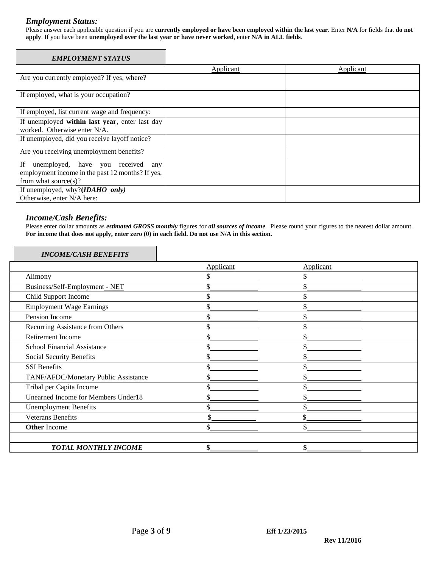#### *Employment Status:*

Please answer each applicable question if you are **currently employed or have been employed within the last year**. Enter **N/A** for fields that **do not apply**. If you have been **unemployed over the last year or have never worked**, enter **N/A in ALL fields**.

| <b>EMPLOYMENT STATUS</b>                         |                  |           |
|--------------------------------------------------|------------------|-----------|
|                                                  | <b>Applicant</b> | Applicant |
| Are you currently employed? If yes, where?       |                  |           |
| If employed, what is your occupation?            |                  |           |
| If employed, list current wage and frequency:    |                  |           |
| If unemployed within last year, enter last day   |                  |           |
| worked. Otherwise enter N/A.                     |                  |           |
| If unemployed, did you receive layoff notice?    |                  |           |
| Are you receiving unemployment benefits?         |                  |           |
| unemployed, have you received<br>If<br>any       |                  |           |
| employment income in the past 12 months? If yes, |                  |           |
| from what source $(s)$ ?                         |                  |           |
| If unemployed, why?( <i>IDAHO only</i> )         |                  |           |
| Otherwise, enter N/A here:                       |                  |           |

### *Income/Cash Benefits:*

Please enter dollar amounts as *estimated GROSS monthly* figures for *all sources of income.* Please round your figures to the nearest dollar amount. **For income that does not apply, enter zero (0) in each field. Do not use N/A in this section.**

#### *INCOME/CASH BENEFITS*

|                                            | Applicant | Applicant |  |
|--------------------------------------------|-----------|-----------|--|
| Alimony                                    |           |           |  |
| Business/Self-Employment - NET             | \$        |           |  |
| Child Support Income                       | \$        |           |  |
| <b>Employment Wage Earnings</b>            | ъ.        |           |  |
| Pension Income                             | እ         |           |  |
| Recurring Assistance from Others           | ъ.        |           |  |
| Retirement Income                          |           |           |  |
| School Financial Assistance                |           |           |  |
| Social Security Benefits                   |           |           |  |
| <b>SSI</b> Benefits                        |           |           |  |
| TANF/AFDC/Monetary Public Assistance       | \$        |           |  |
| Tribal per Capita Income                   | \$        |           |  |
| <b>Unearned Income for Members Under18</b> | \$        |           |  |
| <b>Unemployment Benefits</b>               |           |           |  |
| <b>Veterans Benefits</b>                   | Φ         |           |  |
| <b>Other Income</b>                        | Φ         |           |  |
| <b>TOTAL MONTHLY INCOME</b>                | \$        |           |  |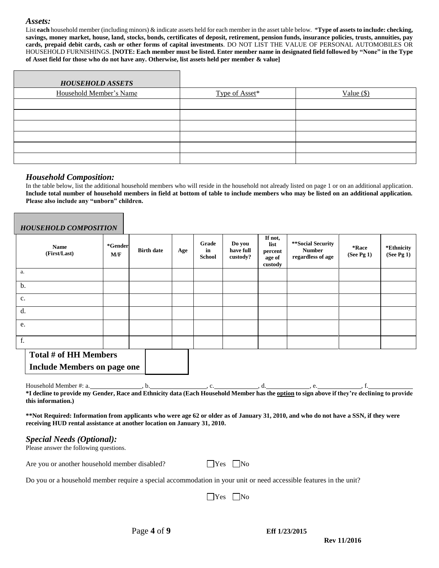#### *Assets:*

List **each** household member (including minors) & indicate assets held for each member in the asset table below. \***Type of assets to include: checking, savings, money market, house, land, stocks, bonds, certificates of deposit, retirement, pension funds, insurance policies, trusts, annuities, pay cards, prepaid debit cards, cash or other forms of capital investments**. DO NOT LIST THE VALUE OF PERSONAL AUTOMOBILES OR HOUSEHOLD FURNISHINGS. **[NOTE: Each member must be listed. Enter member name in designated field followed by "None" in the Type of Asset field for those who do not have any. Otherwise, list assets held per member & value]**

| <b>HOUSEHOLD ASSETS</b> |                |              |
|-------------------------|----------------|--------------|
| Household Member's Name | Type of Asset* | Value $(\$)$ |
|                         |                |              |
|                         |                |              |
|                         |                |              |
|                         |                |              |
|                         |                |              |
|                         |                |              |

#### *Household Composition:*

In the table below, list the additional household members who will reside in the household not already listed on page 1 or on an additional application. **Include total number of household members in field at bottom of table to include members who may be listed on an additional application. Please also include any "unborn" children.**

| <b>HOUSEHOLD COMPOSITION</b> |                |                   |     |                              |                                 |                                                 |                                                         |                     |                            |
|------------------------------|----------------|-------------------|-----|------------------------------|---------------------------------|-------------------------------------------------|---------------------------------------------------------|---------------------|----------------------------|
| <b>Name</b><br>(First/Last)  | *Gender<br>M/F | <b>Birth date</b> | Age | Grade<br>in<br><b>School</b> | Do you<br>have full<br>custody? | If not,<br>list<br>percent<br>age of<br>custody | **Social Security<br><b>Number</b><br>regardless of age | *Race<br>(See Pg 1) | *Ethnicity<br>(See Pg $1)$ |
| a.                           |                |                   |     |                              |                                 |                                                 |                                                         |                     |                            |
| b.                           |                |                   |     |                              |                                 |                                                 |                                                         |                     |                            |
| c.                           |                |                   |     |                              |                                 |                                                 |                                                         |                     |                            |
| d.                           |                |                   |     |                              |                                 |                                                 |                                                         |                     |                            |
| e.                           |                |                   |     |                              |                                 |                                                 |                                                         |                     |                            |
| f.                           |                |                   |     |                              |                                 |                                                 |                                                         |                     |                            |
| Total # of HH Members        |                |                   |     |                              |                                 |                                                 |                                                         |                     |                            |

**Include Members on page one**

Household Member #: a.  $\qquad b.$  , b.  $\qquad c.$  , c.  $\qquad d.$  , e. **\*I decline to provide my Gender, Race and Ethnicity data (Each Household Member has the option to sign above if they're declining to provide this information.)**

**\*\*Not Required: Information from applicants who were age 62 or older as of January 31, 2010, and who do not have a SSN, if they were receiving HUD rental assistance at another location on January 31, 2010.**

#### *Special Needs (Optional):*

Please answer the following questions.

Are you or another household member disabled?  $\Box$  Yes  $\Box$  No

Do you or a household member require a special accommodation in your unit or need accessible features in the unit?

 $\bigcap$ Yes  $\bigcap$ No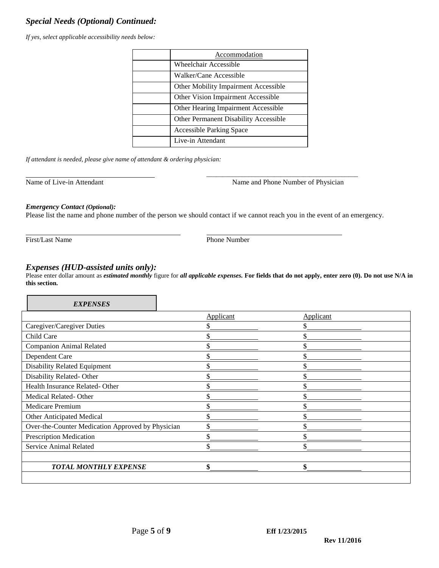# *Special Needs (Optional) Continued:*

*If yes, select applicable accessibility needs below:*

| Accommodation                                |
|----------------------------------------------|
| <b>Wheelchair Accessible</b>                 |
| Walker/Cane Accessible                       |
| Other Mobility Impairment Accessible         |
| Other Vision Impairment Accessible           |
| Other Hearing Impairment Accessible          |
| <b>Other Permanent Disability Accessible</b> |
| <b>Accessible Parking Space</b>              |
| Live-in Attendant                            |

*If attendant is needed, please give name of attendant & ordering physician:*

Name of Live-in Attendant Name and Phone Number of Physician Name and Phone Number of Physician

\_\_\_\_\_\_\_\_\_\_\_\_\_\_\_\_\_\_\_\_\_\_\_\_\_\_\_\_\_\_\_\_\_\_\_\_\_\_\_\_\_\_\_\_\_\_\_

#### *Emergency Contact (Optional):*

Please list the name and phone number of the person we should contact if we cannot reach you in the event of an emergency.

First/Last Name Phone Number

## *Expenses (HUD-assisted units only):*

Please enter dollar amount as *estimated monthly* figure for *all applicable expenses.* **For fields that do not apply, enter zero (0). Do not use N/A in this section.**

| <b>EXPENSES</b>                                   |           |           |  |
|---------------------------------------------------|-----------|-----------|--|
|                                                   | Applicant | Applicant |  |
| Caregiver/Caregiver Duties                        |           |           |  |
| Child Care                                        |           | \$        |  |
| <b>Companion Animal Related</b>                   |           | \$        |  |
| Dependent Care                                    |           | \$        |  |
| Disability Related Equipment                      |           | \$        |  |
| Disability Related-Other                          |           | \$        |  |
| Health Insurance Related-Other                    |           | \$        |  |
| Medical Related-Other                             |           | \$        |  |
| Medicare Premium                                  |           | \$        |  |
| Other Anticipated Medical                         |           | \$        |  |
| Over-the-Counter Medication Approved by Physician |           | \$        |  |
| <b>Prescription Medication</b>                    |           | ፍ         |  |
| Service Animal Related                            |           | ፍ         |  |
|                                                   |           |           |  |
| <b>TOTAL MONTHLY EXPENSE</b>                      | \$        | \$        |  |
|                                                   |           |           |  |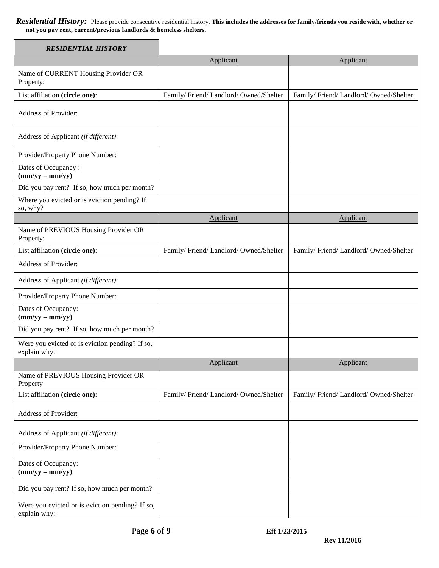*Residential History:* Please provide consecutive residential history. **This includes the addresses for family/friends you reside with, whether or not you pay rent, current/previous landlords & homeless shelters.**

| <b>RESIDENTIAL HISTORY</b>                                      |                                      |                                      |
|-----------------------------------------------------------------|--------------------------------------|--------------------------------------|
|                                                                 | Applicant                            | Applicant                            |
| Name of CURRENT Housing Provider OR<br>Property:                |                                      |                                      |
| List affiliation (circle one):                                  | Family/Friend/Landlord/Owned/Shelter | Family/Friend/Landlord/Owned/Shelter |
| Address of Provider:                                            |                                      |                                      |
| Address of Applicant (if different):                            |                                      |                                      |
| Provider/Property Phone Number:                                 |                                      |                                      |
| Dates of Occupancy:<br>$(mm/yy - mm/yy)$                        |                                      |                                      |
| Did you pay rent? If so, how much per month?                    |                                      |                                      |
| Where you evicted or is eviction pending? If<br>so, why?        |                                      |                                      |
|                                                                 | Applicant                            | Applicant                            |
| Name of PREVIOUS Housing Provider OR<br>Property:               |                                      |                                      |
| List affiliation (circle one):                                  | Family/Friend/Landlord/Owned/Shelter | Family/Friend/Landlord/Owned/Shelter |
| Address of Provider:                                            |                                      |                                      |
| Address of Applicant (if different):                            |                                      |                                      |
| Provider/Property Phone Number:                                 |                                      |                                      |
| Dates of Occupancy:<br>$(mm/yy - mm/yy)$                        |                                      |                                      |
| Did you pay rent? If so, how much per month?                    |                                      |                                      |
| Were you evicted or is eviction pending? If so,<br>explain why: |                                      |                                      |
|                                                                 | Applicant                            | Applicant                            |
| Name of PREVIOUS Housing Provider OR<br>Property                |                                      |                                      |
| List affiliation (circle one):                                  | Family/Friend/Landlord/Owned/Shelter | Family/Friend/Landlord/Owned/Shelter |
| Address of Provider:                                            |                                      |                                      |
| Address of Applicant (if different):                            |                                      |                                      |
| Provider/Property Phone Number:                                 |                                      |                                      |
| Dates of Occupancy:<br>$(mm/yy - mm/yy)$                        |                                      |                                      |
| Did you pay rent? If so, how much per month?                    |                                      |                                      |
| Were you evicted or is eviction pending? If so,<br>explain why: |                                      |                                      |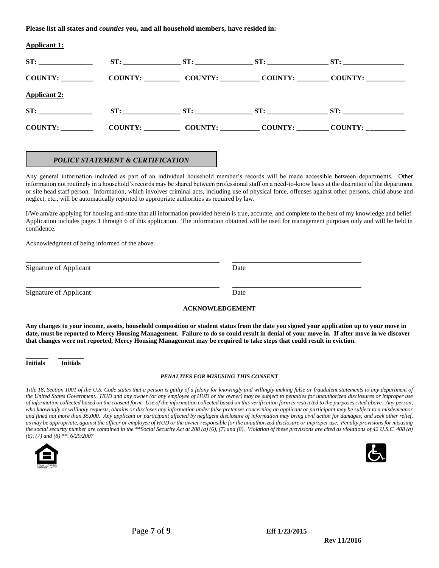**Please list all states and** *counties* **you, and all household members, have resided in:** 

| <b>Applicant 1:</b>                                             |  |                     |
|-----------------------------------------------------------------|--|---------------------|
|                                                                 |  |                     |
| COUNTY: COUNTY: COUNTY: COUNTY: COUNTY: COUNTY: COUNTY:         |  |                     |
| <b>Applicant 2:</b>                                             |  |                     |
| ST:                                                             |  | ST: ST: ST: ST: ST: |
| COUNTY: COUNTY: COUNTY: COUNTY: COUNTY: COUNTY: COUNTY: COUNTY: |  |                     |
|                                                                 |  |                     |

#### *POLICY STATEMENT & CERTIFICATION*

Any general information included as part of an individual household member's records will be made accessible between departments. Other information not routinely in a household's records may be shared between professional staff on a need-to-know basis at the discretion of the department or site head staff person. Information, which involves criminal acts, including use of physical force, offenses against other persons, child abuse and neglect, etc., will be automatically reported to appropriate authorities as required by law.

I/We am/are applying for housing and state that all information provided herein is true, accurate, and complete to the best of my knowledge and belief. Application includes pages 1 through 6 of this application. The information obtained will be used for management purposes only and will be held in confidence.

Acknowledgment of being informed of the above:

| Signature of Applicant | Date |
|------------------------|------|
|                        |      |

l

l

Signature of Applicant Date

#### **ACKNOWLEDGEMENT**

**Any changes to your income, assets, household composition or student status from the date you signed your application up to your move in date, must be reported to Mercy Housing Management. Failure to do so could result in denial of your move in. If after move in we discover that changes were not reported, Mercy Housing Management may be required to take steps that could result in eviction.**

**\_\_\_\_\_\_\_ \_\_\_\_\_\_\_\_ Initials Initials**

#### *PENALTIES FOR MISUSING THIS CONSENT*

*Title 18, Section 1001 of the U.S. Code states that a person is guilty of a felony for knowingly and willingly making false or fraudulent statements to any department of the United States Government. HUD and any owner (or any employee of HUD or the owner) may be subject to penalties for unauthorized disclosures or improper use of information collected based on the consent form. Use of the information collected based on this verification form is restricted to the purposes cited above. Any person, who knowingly or willingly requests, obtains or discloses any information under false pretenses concerning an applicant or participant may be subject to a misdemeanor and fined not more than \$5,000. Any applicant or participant affected by negligent disclosure of information may bring civil action for damages, and seek other relief, as may be appropriate, against the officer or employee of HUD or the owner responsible for the unauthorized disclosure or improper use. Penalty provisions for misusing the social security number are contained in the \*\*Social Security Act at 208 (a) (6), (7) and (8). Violation of these provisions are cited as violations of 42 U.S.C. 408 (a) (6), (7) and (8) \*\*. 6/29/2007*

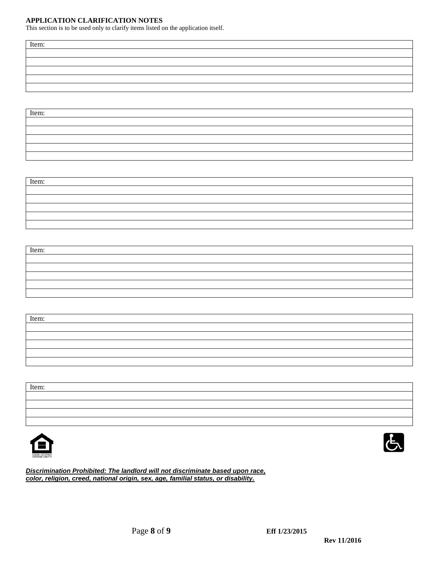#### **APPLICATION CLARIFICATION NOTES**

This section is to be used only to clarify items listed on the application itself.

Item:

Item:

| Item: |  |  |
|-------|--|--|
|       |  |  |
|       |  |  |
|       |  |  |
|       |  |  |
|       |  |  |

| Item: |  |  |
|-------|--|--|
|       |  |  |
|       |  |  |
|       |  |  |
|       |  |  |
|       |  |  |

| Item: |  |  |
|-------|--|--|
|       |  |  |
|       |  |  |
|       |  |  |
|       |  |  |
|       |  |  |
|       |  |  |

Item:





*Discrimination Prohibited: The landlord will not discriminate based upon race, color, religion, creed, national origin, sex, age, familial status, or disability.*